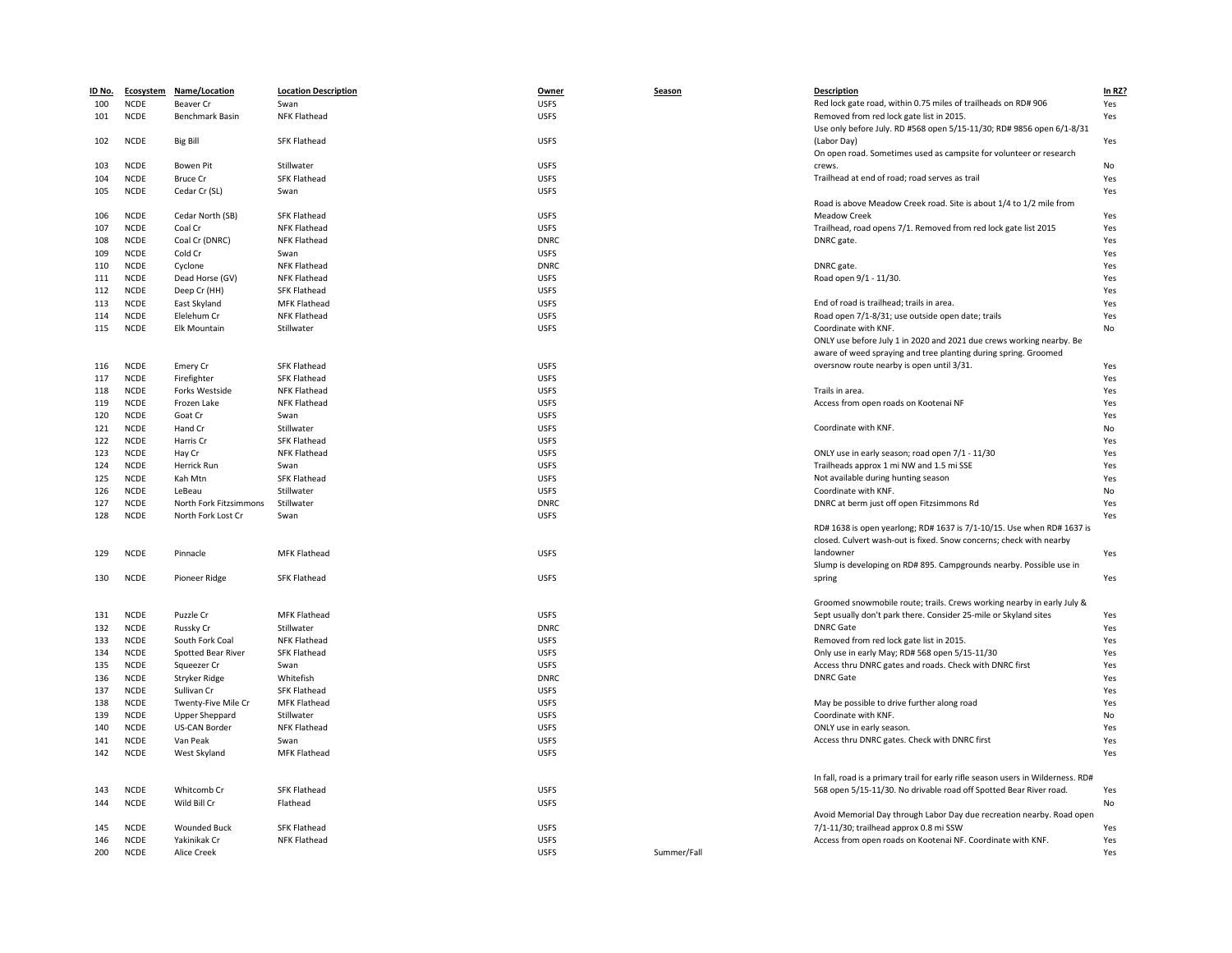| ID No. |             | Ecosystem Name/Location | <b>Location Description</b> | Owner       | Season      | <b>Description</b>                                                                                                | In RZ? |
|--------|-------------|-------------------------|-----------------------------|-------------|-------------|-------------------------------------------------------------------------------------------------------------------|--------|
| 100    | <b>NCDE</b> | Beaver Cr               | Swan                        | <b>USFS</b> |             | Red lock gate road, within 0.75 miles of trailheads on RD# 906                                                    | Yes    |
| 101    | <b>NCDE</b> | Benchmark Basin         | NFK Flathead                | <b>USFS</b> |             | Removed from red lock gate list in 2015.<br>Use only before July. RD #568 open 5/15-11/30; RD# 9856 open 6/1-8/31 | Yes    |
| 102    | <b>NCDE</b> | <b>Big Bill</b>         | <b>SFK Flathead</b>         | <b>USFS</b> |             | (Labor Day)                                                                                                       | Yes    |
|        |             |                         |                             |             |             | On open road. Sometimes used as campsite for volunteer or research                                                |        |
| 103    | <b>NCDE</b> | <b>Bowen Pit</b>        | Stillwater                  | <b>USFS</b> |             | crews.                                                                                                            | No     |
| 104    | <b>NCDE</b> | <b>Bruce Cr</b>         | <b>SFK Flathead</b>         | <b>USFS</b> |             | Trailhead at end of road; road serves as trail                                                                    | Yes    |
| 105    | <b>NCDE</b> | Cedar Cr (SL)           | Swan                        | <b>USFS</b> |             |                                                                                                                   | Yes    |
|        |             |                         |                             |             |             | Road is above Meadow Creek road. Site is about 1/4 to 1/2 mile from                                               |        |
| 106    | <b>NCDE</b> | Cedar North (SB)        | <b>SFK Flathead</b>         | <b>USFS</b> |             | <b>Meadow Creek</b>                                                                                               | Yes    |
| 107    | <b>NCDE</b> | Coal Cr                 | NFK Flathead                | <b>USFS</b> |             | Trailhead, road opens 7/1. Removed from red lock gate list 2015                                                   | Yes    |
| 108    | <b>NCDE</b> | Coal Cr (DNRC)          | NFK Flathead                | <b>DNRC</b> |             | DNRC gate.                                                                                                        | Yes    |
| 109    | <b>NCDE</b> | Cold Cr                 | Swan                        | <b>USFS</b> |             |                                                                                                                   | Yes    |
| 110    | <b>NCDE</b> | Cyclone                 | <b>NFK Flathead</b>         | <b>DNRC</b> |             | DNRC gate.                                                                                                        | Yes    |
| 111    | <b>NCDE</b> | Dead Horse (GV)         | NFK Flathead                | <b>USFS</b> |             | Road open 9/1 - 11/30.                                                                                            | Yes    |
| 112    | <b>NCDE</b> | Deep Cr (HH)            | <b>SFK Flathead</b>         | <b>USFS</b> |             |                                                                                                                   | Yes    |
| 113    | <b>NCDE</b> | East Skyland            | <b>MFK Flathead</b>         | <b>USFS</b> |             | End of road is trailhead; trails in area.                                                                         | Yes    |
| 114    | <b>NCDE</b> | Elelehum Cr             | NFK Flathead                | <b>USFS</b> |             | Road open 7/1-8/31; use outside open date; trails                                                                 | Yes    |
| 115    | <b>NCDE</b> | Elk Mountain            | Stillwater                  | <b>USFS</b> |             | Coordinate with KNF.                                                                                              | No     |
|        |             |                         |                             |             |             | ONLY use before July 1 in 2020 and 2021 due crews working nearby. Be                                              |        |
|        |             |                         |                             |             |             | aware of weed spraying and tree planting during spring. Groomed                                                   |        |
| 116    | <b>NCDE</b> | Emery Cr                | <b>SFK Flathead</b>         | <b>USFS</b> |             | oversnow route nearby is open until 3/31.                                                                         | Yes    |
| 117    | <b>NCDE</b> | Firefighter             | <b>SFK Flathead</b>         | <b>USFS</b> |             |                                                                                                                   | Yes    |
| 118    | <b>NCDE</b> | Forks Westside          | NFK Flathead                | <b>USFS</b> |             | Trails in area.                                                                                                   | Yes    |
| 119    | <b>NCDE</b> | Frozen Lake             | NFK Flathead                | <b>USFS</b> |             | Access from open roads on Kootenai NF                                                                             | Yes    |
|        | <b>NCDE</b> |                         |                             | <b>USFS</b> |             |                                                                                                                   |        |
| 120    |             | Goat Cr                 | Swan                        |             |             |                                                                                                                   | Yes    |
| 121    | <b>NCDE</b> | Hand Cr                 | Stillwater                  | <b>USFS</b> |             | Coordinate with KNF.                                                                                              | No     |
| 122    | <b>NCDE</b> | Harris Cr               | <b>SFK Flathead</b>         | <b>USFS</b> |             |                                                                                                                   | Yes    |
| 123    | <b>NCDE</b> | Hay Cr                  | <b>NFK Flathead</b>         | <b>USFS</b> |             | ONLY use in early season; road open 7/1 - 11/30                                                                   | Yes    |
| 124    | <b>NCDE</b> | Herrick Run             | Swan                        | <b>USFS</b> |             | Trailheads approx 1 mi NW and 1.5 mi SSE                                                                          | Yes    |
| 125    | <b>NCDE</b> | Kah Mtn                 | <b>SFK Flathead</b>         | <b>USFS</b> |             | Not available during hunting season                                                                               | Yes    |
| 126    | <b>NCDE</b> | LeBeau                  | Stillwater                  | <b>USFS</b> |             | Coordinate with KNF.                                                                                              | No     |
| 127    | <b>NCDE</b> | North Fork Fitzsimmons  | Stillwater                  | <b>DNRC</b> |             | DNRC at berm just off open Fitzsimmons Rd                                                                         | Yes    |
| 128    | <b>NCDE</b> | North Fork Lost Cr      | Swan                        | <b>USFS</b> |             |                                                                                                                   | Yes    |
|        |             |                         |                             |             |             | RD# 1638 is open yearlong; RD# 1637 is 7/1-10/15. Use when RD# 1637 is                                            |        |
|        |             |                         |                             |             |             | closed. Culvert wash-out is fixed. Snow concerns; check with nearby                                               |        |
| 129    | <b>NCDE</b> | Pinnacle                | <b>MFK Flathead</b>         | <b>USFS</b> |             | landowner                                                                                                         | Yes    |
|        |             |                         |                             |             |             | Slump is developing on RD# 895. Campgrounds nearby. Possible use in                                               |        |
| 130    | <b>NCDE</b> | Pioneer Ridge           | <b>SFK Flathead</b>         | <b>USFS</b> |             | spring                                                                                                            | Yes    |
|        |             |                         |                             |             |             | Groomed snowmobile route; trails. Crews working nearby in early July &                                            |        |
| 131    | <b>NCDE</b> | Puzzle Cr               | <b>MFK Flathead</b>         | <b>USFS</b> |             | Sept usually don't park there. Consider 25-mile or Skyland sites                                                  | Yes    |
| 132    | <b>NCDE</b> | Russky Cr               | Stillwater                  | <b>DNRC</b> |             | <b>DNRC Gate</b>                                                                                                  | Yes    |
| 133    | <b>NCDE</b> | South Fork Coal         | <b>NFK Flathead</b>         | <b>USFS</b> |             | Removed from red lock gate list in 2015.                                                                          | Yes    |
|        | <b>NCDE</b> |                         |                             | <b>USFS</b> |             |                                                                                                                   |        |
| 134    |             | Spotted Bear River      | <b>SFK Flathead</b>         |             |             | Only use in early May; RD# 568 open 5/15-11/30                                                                    | Yes    |
| 135    | <b>NCDE</b> | Squeezer Cr             | Swan                        | <b>USFS</b> |             | Access thru DNRC gates and roads. Check with DNRC first                                                           | Yes    |
| 136    | <b>NCDE</b> | Stryker Ridge           | Whitefish                   | <b>DNRC</b> |             | <b>DNRC Gate</b>                                                                                                  | Yes    |
| 137    | <b>NCDE</b> | Sullivan Cr             | <b>SFK Flathead</b>         | <b>USFS</b> |             |                                                                                                                   | Yes    |
| 138    | <b>NCDE</b> | Twenty-Five Mile Cr     | <b>MFK Flathead</b>         | <b>USFS</b> |             | May be possible to drive further along road                                                                       | Yes    |
| 139    | <b>NCDE</b> | <b>Upper Sheppard</b>   | Stillwater                  | <b>USFS</b> |             | Coordinate with KNF.                                                                                              | No     |
| 140    | <b>NCDE</b> | <b>US-CAN Border</b>    | NFK Flathead                | <b>USFS</b> |             | ONLY use in early season.                                                                                         | Yes    |
| 141    | <b>NCDE</b> | Van Peak                | Swan                        | <b>USFS</b> |             | Access thru DNRC gates. Check with DNRC first                                                                     | Yes    |
| 142    | <b>NCDE</b> | West Skyland            | MFK Flathead                | <b>USFS</b> |             |                                                                                                                   | Yes    |
|        |             |                         |                             |             |             | In fall, road is a primary trail for early rifle season users in Wilderness. RD#                                  |        |
| 143    | <b>NCDE</b> | Whitcomb Cr             | <b>SFK Flathead</b>         | <b>USFS</b> |             | 568 open 5/15-11/30. No drivable road off Spotted Bear River road.                                                | Yes    |
| 144    | <b>NCDE</b> | Wild Bill Cr            | Flathead                    | <b>USFS</b> |             |                                                                                                                   | No     |
|        |             |                         |                             |             |             | Avoid Memorial Day through Labor Day due recreation nearby. Road open                                             |        |
| 145    | <b>NCDE</b> | <b>Wounded Buck</b>     | <b>SFK Flathead</b>         | <b>USFS</b> |             | 7/1-11/30; trailhead approx 0.8 mi SSW                                                                            | Yes    |
| 146    | <b>NCDE</b> | Yakinikak Cr            | NFK Flathead                | <b>USFS</b> |             | Access from open roads on Kootenai NF. Coordinate with KNF.                                                       | Yes    |
| 200    | <b>NCDE</b> | <b>Alice Creek</b>      |                             | <b>USFS</b> | Summer/Fall |                                                                                                                   | Yes    |
|        |             |                         |                             |             |             |                                                                                                                   |        |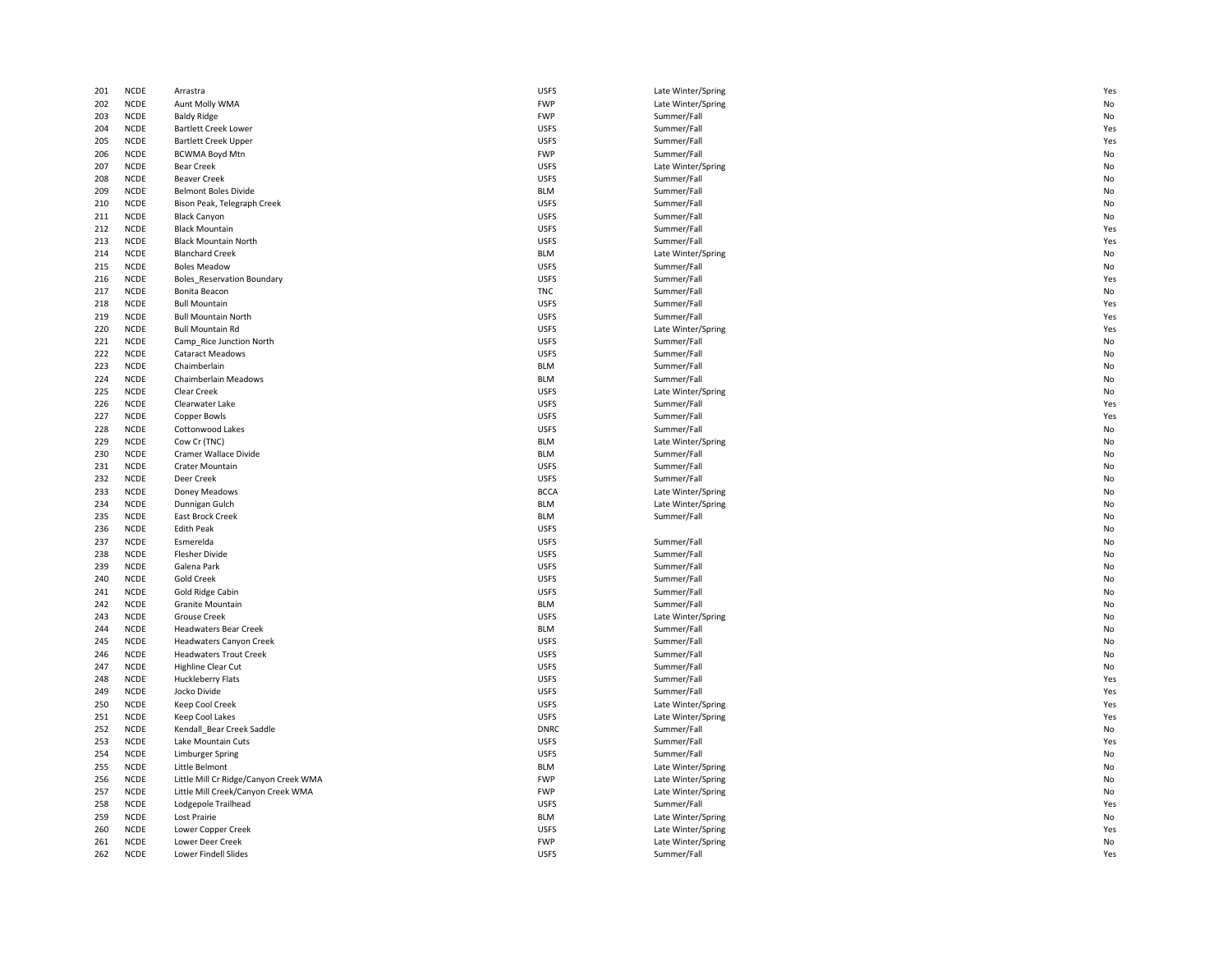| 201 | <b>NCDE</b> | Arrastra                              | <b>USFS</b> | Late Winter/Spring | Ye: |
|-----|-------------|---------------------------------------|-------------|--------------------|-----|
| 202 | <b>NCDE</b> | Aunt Molly WMA                        | <b>FWP</b>  | Late Winter/Spring | No  |
| 203 | <b>NCDE</b> | <b>Baldy Ridge</b>                    | <b>FWP</b>  | Summer/Fall        | No  |
| 204 | <b>NCDE</b> | <b>Bartlett Creek Lower</b>           | <b>USFS</b> | Summer/Fall        | Ye: |
| 205 | NCDE        | <b>Bartlett Creek Upper</b>           | <b>USFS</b> | Summer/Fall        | Ye: |
| 206 | <b>NCDE</b> | <b>BCWMA Boyd Mtn</b>                 | <b>FWP</b>  | Summer/Fall        | No  |
| 207 | <b>NCDE</b> | <b>Bear Creek</b>                     | <b>USFS</b> | Late Winter/Spring | No  |
| 208 | <b>NCDE</b> | <b>Beaver Creek</b>                   | <b>USFS</b> | Summer/Fall        | No  |
| 209 | <b>NCDE</b> | <b>Belmont Boles Divide</b>           | <b>BLM</b>  | Summer/Fall        | No  |
| 210 | <b>NCDE</b> | Bison Peak, Telegraph Creek           | <b>USFS</b> | Summer/Fall        | No  |
| 211 | <b>NCDE</b> | <b>Black Canyon</b>                   | <b>USFS</b> | Summer/Fall        | No  |
| 212 | <b>NCDE</b> | <b>Black Mountain</b>                 | <b>USFS</b> | Summer/Fall        | Ye: |
| 213 | <b>NCDE</b> | <b>Black Mountain North</b>           | <b>USFS</b> | Summer/Fall        | Ye: |
| 214 | <b>NCDE</b> | <b>Blanchard Creek</b>                | <b>BLM</b>  | Late Winter/Spring | No  |
| 215 | <b>NCDE</b> | <b>Boles Meadow</b>                   | <b>USFS</b> | Summer/Fall        | No  |
| 216 | <b>NCDE</b> | <b>Boles_Reservation Boundary</b>     | <b>USFS</b> | Summer/Fall        | Ye: |
| 217 | <b>NCDE</b> | Bonita Beacon                         | <b>TNC</b>  | Summer/Fall        | No  |
| 218 | <b>NCDE</b> | <b>Bull Mountain</b>                  | <b>USFS</b> | Summer/Fall        | Ye: |
| 219 | <b>NCDE</b> | <b>Bull Mountain North</b>            | <b>USFS</b> | Summer/Fall        | Ye: |
| 220 | <b>NCDE</b> | <b>Bull Mountain Rd</b>               | <b>USFS</b> | Late Winter/Spring | Ye: |
| 221 | <b>NCDE</b> | Camp Rice Junction North              | <b>USFS</b> | Summer/Fall        | No  |
| 222 | NCDE        | <b>Cataract Meadows</b>               | <b>USFS</b> | Summer/Fall        | No  |
| 223 | <b>NCDE</b> | Chaimberlain                          | <b>BLM</b>  | Summer/Fall        | No  |
| 224 | <b>NCDE</b> | Chaimberlain Meadows                  | <b>BLM</b>  | Summer/Fall        | No  |
| 225 | <b>NCDE</b> | Clear Creek                           | <b>USFS</b> | Late Winter/Spring | No  |
| 226 | <b>NCDE</b> | Clearwater Lake                       | <b>USFS</b> | Summer/Fall        |     |
|     |             |                                       |             |                    | Ye: |
| 227 | <b>NCDE</b> | <b>Copper Bowls</b>                   | <b>USFS</b> | Summer/Fall        | Ye: |
| 228 | <b>NCDE</b> | Cottonwood Lakes                      | <b>USFS</b> | Summer/Fall        | No  |
| 229 | <b>NCDE</b> | Cow Cr (TNC)                          | <b>BLM</b>  | Late Winter/Spring | No  |
| 230 | <b>NCDE</b> | Cramer Wallace Divide                 | <b>BLM</b>  | Summer/Fall        | No  |
| 231 | <b>NCDE</b> | Crater Mountain                       | <b>USFS</b> | Summer/Fall        | No  |
| 232 | <b>NCDE</b> | Deer Creek                            | <b>USFS</b> | Summer/Fall        | No  |
| 233 | <b>NCDE</b> | Doney Meadows                         | <b>BCCA</b> | Late Winter/Spring | No  |
| 234 | <b>NCDE</b> | Dunnigan Gulch                        | <b>BLM</b>  | Late Winter/Spring | No  |
| 235 | <b>NCDE</b> | East Brock Creek                      | <b>BLM</b>  | Summer/Fall        | No  |
| 236 | <b>NCDE</b> | <b>Edith Peak</b>                     | <b>USFS</b> |                    | No  |
| 237 | <b>NCDE</b> | Esmerelda                             | <b>USFS</b> | Summer/Fall        | No  |
| 238 | <b>NCDE</b> | <b>Flesher Divide</b>                 | <b>USFS</b> | Summer/Fall        | No  |
| 239 | <b>NCDE</b> | Galena Park                           | <b>USFS</b> | Summer/Fall        | No  |
| 240 | <b>NCDE</b> | <b>Gold Creek</b>                     | <b>USFS</b> | Summer/Fall        | No  |
| 241 | <b>NCDE</b> | Gold Ridge Cabin                      | <b>USFS</b> | Summer/Fall        | No  |
| 242 | <b>NCDE</b> | <b>Granite Mountain</b>               | <b>BLM</b>  | Summer/Fall        | No  |
| 243 | <b>NCDE</b> | <b>Grouse Creek</b>                   | <b>USFS</b> | Late Winter/Spring | No  |
| 244 | <b>NCDE</b> | <b>Headwaters Bear Creek</b>          | <b>BLM</b>  | Summer/Fall        | No  |
| 245 | <b>NCDE</b> | <b>Headwaters Canyon Creek</b>        | <b>USFS</b> | Summer/Fall        | No  |
| 246 | <b>NCDE</b> | <b>Headwaters Trout Creek</b>         | <b>USFS</b> | Summer/Fall        | No  |
| 247 | <b>NCDE</b> | Highline Clear Cut                    | <b>USFS</b> | Summer/Fall        | No  |
| 248 | <b>NCDE</b> | Huckleberry Flats                     | <b>USFS</b> | Summer/Fall        | Ye: |
| 249 | <b>NCDE</b> | Jocko Divide                          | <b>USFS</b> | Summer/Fall        | Ye: |
| 250 | <b>NCDE</b> | Keep Cool Creek                       | <b>USFS</b> | Late Winter/Spring | Ye: |
| 251 | <b>NCDE</b> | Keep Cool Lakes                       | <b>USFS</b> | Late Winter/Spring | Ye: |
| 252 | <b>NCDE</b> | Kendall Bear Creek Saddle             | <b>DNRC</b> | Summer/Fall        | No  |
| 253 | <b>NCDE</b> | Lake Mountain Cuts                    | <b>USFS</b> | Summer/Fall        | Ye: |
| 254 | <b>NCDE</b> | Limburger Spring                      | <b>USFS</b> | Summer/Fall        | No  |
| 255 | <b>NCDE</b> | Little Belmont                        | <b>BLM</b>  | Late Winter/Spring | No  |
| 256 | <b>NCDE</b> | Little Mill Cr Ridge/Canyon Creek WMA | <b>FWP</b>  | Late Winter/Spring | No  |
| 257 | <b>NCDE</b> | Little Mill Creek/Canyon Creek WMA    | <b>FWP</b>  | Late Winter/Spring | No  |
| 258 | <b>NCDE</b> | Lodgepole Trailhead                   | <b>USFS</b> | Summer/Fall        | Ye: |
| 259 | <b>NCDE</b> | Lost Prairie                          | <b>BLM</b>  | Late Winter/Spring | No  |
| 260 | <b>NCDE</b> | Lower Copper Creek                    | <b>USFS</b> | Late Winter/Spring | Ye: |
| 261 | <b>NCDE</b> | Lower Deer Creek                      | <b>FWP</b>  | Late Winter/Spring | No  |
|     |             |                                       |             |                    |     |
| 262 | <b>NCDE</b> | <b>Lower Findell Slides</b>           | <b>USFS</b> | Summer/Fall        | Ye: |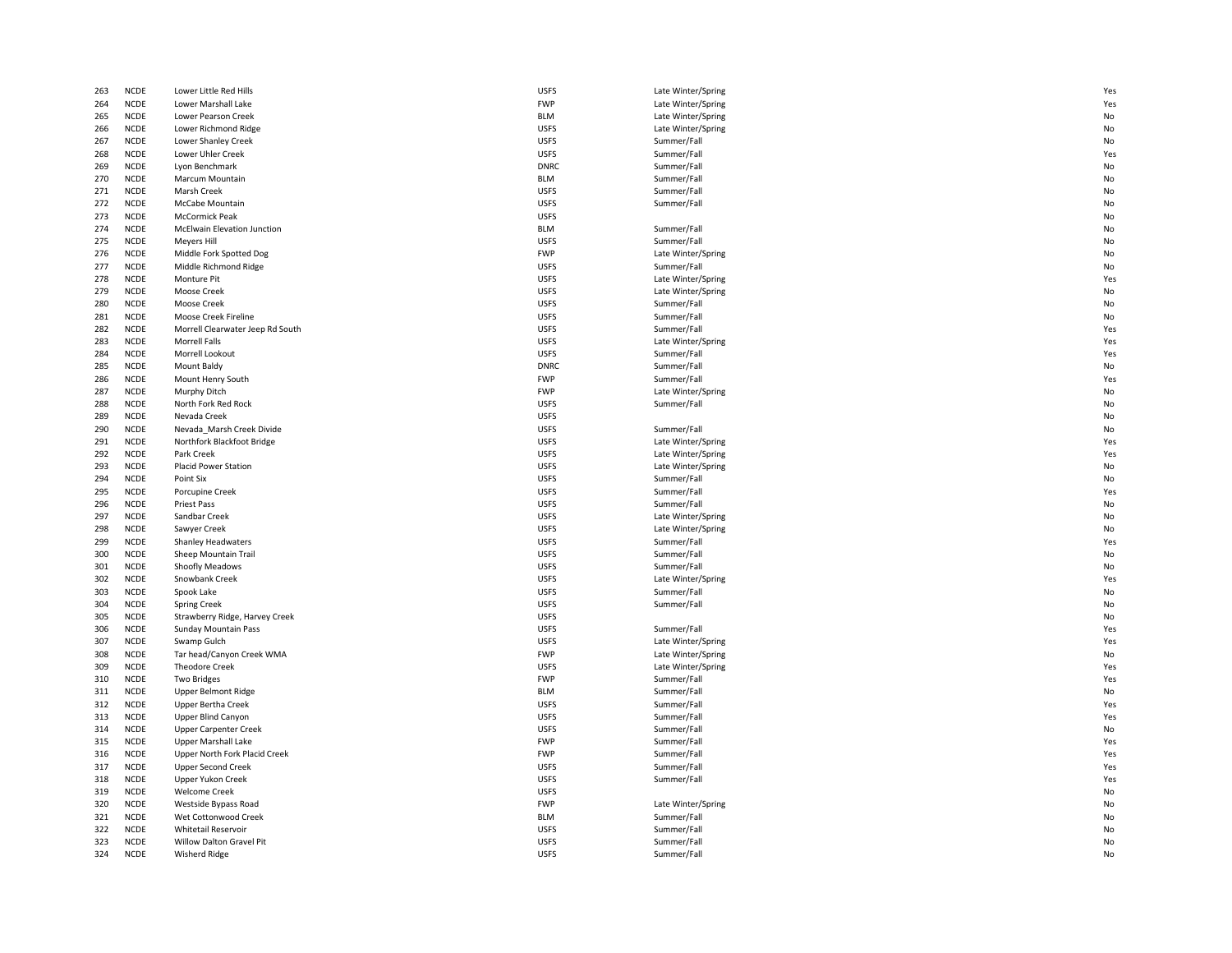| 263        | <b>NCDE</b>                | Lower Little Red Hills                           | <b>USFS</b>                | Late Winter/Spring         | Ye:      |
|------------|----------------------------|--------------------------------------------------|----------------------------|----------------------------|----------|
| 264        | <b>NCDE</b>                | Lower Marshall Lake                              | <b>FWP</b>                 | Late Winter/Spring         | Ye:      |
| 265        | <b>NCDE</b>                | Lower Pearson Creek                              | <b>BLM</b>                 | Late Winter/Spring         | No       |
| 266        | <b>NCDE</b>                | Lower Richmond Ridge                             | <b>USFS</b>                | Late Winter/Spring         | No       |
| 267        | NCDE                       | Lower Shanley Creek                              | <b>USFS</b>                | Summer/Fall                | No       |
| 268        | <b>NCDE</b>                | Lower Uhler Creek                                | <b>USFS</b>                | Summer/Fall                | Ye:      |
| 269        | <b>NCDE</b>                | Lyon Benchmark                                   | <b>DNRC</b>                | Summer/Fall                | No       |
| 270        | <b>NCDE</b>                | Marcum Mountain                                  | <b>BLM</b>                 | Summer/Fall                | No       |
| 271        | <b>NCDE</b>                | Marsh Creek                                      | <b>USFS</b>                | Summer/Fall                | No       |
| 272        | <b>NCDE</b>                | McCabe Mountain                                  | <b>USFS</b>                | Summer/Fall                | No       |
| 273        | <b>NCDE</b>                | <b>McCormick Peak</b>                            | <b>USFS</b>                |                            | No       |
| 274        | <b>NCDE</b>                | McElwain Elevation Junction                      | <b>BLM</b>                 | Summer/Fall                | No       |
| 275        | <b>NCDE</b>                | <b>Meyers Hill</b>                               | <b>USFS</b>                | Summer/Fall                | No       |
| 276        | <b>NCDE</b>                | Middle Fork Spotted Dog                          | <b>FWP</b>                 | Late Winter/Spring         | No       |
| 277        | <b>NCDE</b>                | Middle Richmond Ridge                            | <b>USFS</b>                | Summer/Fall                | No       |
| 278        | <b>NCDE</b>                | <b>Monture Pit</b>                               | <b>USFS</b>                | Late Winter/Spring         | Ye:      |
| 279        | <b>NCDE</b>                | Moose Creek                                      | <b>USFS</b>                | Late Winter/Spring         | No       |
| 280        | <b>NCDE</b>                | <b>Moose Creek</b>                               | <b>USFS</b>                | Summer/Fall                | No       |
| 281        | <b>NCDE</b>                | Moose Creek Fireline                             | <b>USFS</b>                | Summer/Fall                | No       |
| 282        | <b>NCDE</b>                | Morrell Clearwater Jeep Rd South                 | <b>USFS</b>                | Summer/Fall                | Ye:      |
| 283        | <b>NCDE</b>                | <b>Morrell Falls</b>                             | <b>USFS</b>                | Late Winter/Spring         | Ye:      |
| 284        | NCDE                       | Morrell Lookout                                  | <b>USFS</b>                | Summer/Fall                | Ye:      |
| 285        | <b>NCDE</b>                | Mount Baldy                                      | <b>DNRC</b>                | Summer/Fall                | No       |
| 286        | <b>NCDE</b>                | Mount Henry South                                | <b>FWP</b>                 | Summer/Fall                | Ye:      |
| 287        | <b>NCDE</b>                | Murphy Ditch                                     | <b>FWP</b>                 | Late Winter/Spring         | No       |
| 288        | <b>NCDE</b>                | North Fork Red Rock                              | <b>USFS</b>                | Summer/Fall                | No       |
| 289        | <b>NCDE</b>                | Nevada Creek                                     | <b>USFS</b>                |                            | No       |
| 290        | <b>NCDE</b>                | Nevada Marsh Creek Divide                        | <b>USFS</b>                | Summer/Fall                | No       |
| 291        | <b>NCDE</b>                | Northfork Blackfoot Bridge                       | <b>USFS</b>                | Late Winter/Spring         | Ye:      |
| 292        | <b>NCDE</b>                | Park Creek                                       | <b>USFS</b>                | Late Winter/Spring         | Ye:      |
| 293        | <b>NCDE</b>                | Placid Power Station                             | <b>USFS</b>                | Late Winter/Spring         | No       |
| 294        | <b>NCDE</b>                | Point Six                                        | <b>USFS</b>                | Summer/Fall                | No       |
| 295        | <b>NCDE</b>                | Porcupine Creek                                  | <b>USFS</b>                | Summer/Fall                | Ye:      |
| 296        | <b>NCDE</b>                | Priest Pass                                      | <b>USFS</b>                | Summer/Fall                | No       |
|            | <b>NCDE</b>                |                                                  |                            |                            |          |
| 297        | <b>NCDE</b>                | Sandbar Creek                                    | <b>USFS</b>                | Late Winter/Spring         | No       |
| 298        | <b>NCDE</b>                | Sawyer Creek                                     | <b>USFS</b>                | Late Winter/Spring         | No       |
| 299        |                            | Shanley Headwaters                               | <b>USFS</b>                | Summer/Fall                | Ye:      |
| 300        | <b>NCDE</b><br><b>NCDE</b> | Sheep Mountain Trail                             | <b>USFS</b>                | Summer/Fall                | No<br>No |
| 301        |                            | Shoofly Meadows                                  | <b>USFS</b>                | Summer/Fall                |          |
| 302        | <b>NCDE</b>                | Snowbank Creek                                   | <b>USFS</b>                | Late Winter/Spring         | Ye:      |
| 303        | <b>NCDE</b>                | Spook Lake                                       | <b>USFS</b>                | Summer/Fall                | No       |
| 304        | <b>NCDE</b>                | <b>Spring Creek</b>                              | <b>USFS</b>                | Summer/Fall                | No       |
| 305        | <b>NCDE</b>                | Strawberry Ridge, Harvey Creek                   | <b>USFS</b>                |                            | No       |
| 306        | <b>NCDE</b>                | Sunday Mountain Pass                             | <b>USFS</b>                | Summer/Fall                | Ye:      |
| 307        | <b>NCDE</b>                | Swamp Gulch                                      | <b>USFS</b>                | Late Winter/Spring         | Ye:      |
| 308        | <b>NCDE</b>                | Tar head/Canyon Creek WMA                        | <b>FWP</b>                 | Late Winter/Spring         | No       |
| 309        | <b>NCDE</b>                | <b>Theodore Creek</b>                            | <b>USFS</b>                | Late Winter/Spring         | Ye:      |
| 310        | <b>NCDE</b>                | <b>Two Bridges</b>                               | <b>FWP</b>                 | Summer/Fall                | Ye:      |
| 311        | <b>NCDE</b>                | <b>Upper Belmont Ridge</b>                       | <b>BLM</b>                 | Summer/Fall                | No       |
| 312        | <b>NCDE</b>                | <b>Upper Bertha Creek</b>                        | <b>USFS</b>                | Summer/Fall                | Ye:      |
| 313        | <b>NCDE</b>                | Upper Blind Canyon                               | <b>USFS</b>                | Summer/Fall                | Ye:      |
| 314        | <b>NCDE</b>                | <b>Upper Carpenter Creek</b>                     | <b>USFS</b>                | Summer/Fall                | No       |
| 315        | <b>NCDE</b>                | <b>Upper Marshall Lake</b>                       | <b>FWP</b>                 | Summer/Fall                | Ye:      |
| 316        | <b>NCDE</b>                | Upper North Fork Placid Creek                    | <b>FWP</b>                 | Summer/Fall                | Ye:      |
| 317        | <b>NCDE</b>                | <b>Upper Second Creek</b>                        | <b>USFS</b>                | Summer/Fall                | Ye:      |
| 318        |                            |                                                  |                            |                            |          |
|            | <b>NCDE</b>                | <b>Upper Yukon Creek</b>                         | <b>USFS</b>                | Summer/Fall                | Ye:      |
| 319        | <b>NCDE</b>                | <b>Welcome Creek</b>                             | <b>USFS</b>                |                            | No       |
| 320        | <b>NCDE</b>                | Westside Bypass Road                             | <b>FWP</b>                 | Late Winter/Spring         | No       |
| 321        | <b>NCDE</b>                | Wet Cottonwood Creek                             | <b>BLM</b>                 | Summer/Fall                | No       |
| 322        | <b>NCDE</b>                | Whitetail Reservoir                              | <b>USFS</b>                | Summer/Fall                | No       |
| 323<br>324 | <b>NCDE</b><br><b>NCDE</b> | Willow Dalton Gravel Pit<br><b>Wisherd Ridge</b> | <b>USFS</b><br><b>USFS</b> | Summer/Fall<br>Summer/Fall | No<br>No |